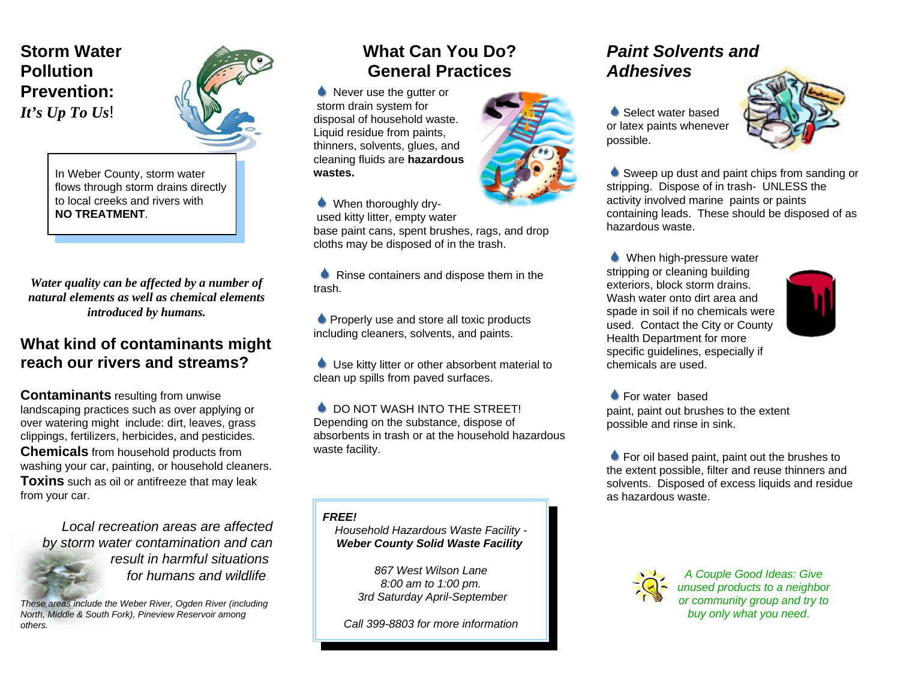### **Storm WaterPollutionPrevention:***It's Up To Us*!

In Weber County, storm water flows through storm drains directly to local creeks and rivers with **NO TREATMENT**.

*Water quality can be affected by a number of natural elements as well as chemical elementsintroduced by humans.*

### **What kind of contaminants might reach our rivers and streams?**

**Contaminants** resulting from unwise landscaping practices such as over applying or over watering might include: dirt, leaves, grass clippings, fertilizers, herbicides, and pesticides. **Chemicals** from household products from washing your car, painting, or household cleaners. **Toxins** such as oil or antifreeze that may leak from your car.

*Local recreation areas are affectedby storm water contamination and can result in harmful situations for humans and wildlife*.

*These areas include the Weber River, Ogden River (including North, Middle & South Fork), Pineview Reservoir among others.*

## **What Can You Do?General Practices**

Never use the gutter or storm drain system for disposal of household waste. Liquid residue from paints, thinners, solvents, glues, and cleaning fluids are **hazardous wastes.**

When thoroughly dry used kitty litter, empty water base paint cans, spent brushes, rags, and drop cloths may be disposed of in the trash.

**A** Rinse containers and dispose them in the trash.

**• Properly use and store all toxic products** including cleaners, solvents, and paints.

 Use kitty litter or other absorbent material to clean up spills from paved surfaces.

 $\bullet$  DO NOT WASH INTO THE STREET! Depending on the substance, dispose of absorbents in trash or at the household hazardouswaste facility.

*FREE!*

*Household Hazardous Waste Facility - Weber County Solid Waste Facility* 

> *867 West Wilson Lane8:00 am to 1:00 pm. 3rd Saturday April-September*

*Call 399-8803 for more information*

### *Paint Solvents and Adhesives*

Select water based or latex paints whenever possible.



Sweep up dust and paint chips from sanding or stripping. Dispose of in trash- UNLESS the activity involved marine paints or paints containing leads. These should be disposed of as hazardous waste.

When high-pressure water stripping or cleaning building exteriors, block storm drains. Wash water onto dirt area andspade in soil if no chemicals were used. Contact the City or County Health Department for more specific guidelines, especially if chemicals are used.



**For water based** paint, paint out brushes to the extent possible and rinse in sink.

**For oil based paint, paint out the brushes to** the extent possible, filter and reuse thinners and solvents. Disposed of excess liquids and residue as hazardous waste.



*A Couple Good Ideas: Give unused products to a neighbor or community group and try to buy only what you need*.